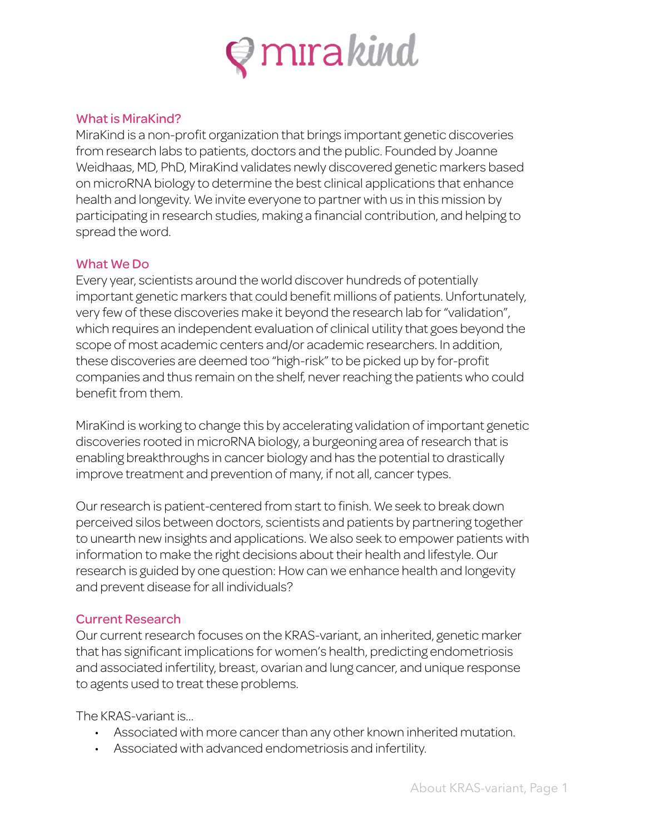

## What is MiraKind?

MiraKind is a non-profit organization that brings important genetic discoveries from research labs to patients, doctors and the public. Founded by Joanne Weidhaas, MD, PhD, MiraKind validates newly discovered genetic markers based on microRNA biology to determine the best clinical applications that enhance health and longevity. We invite everyone to partner with us in this mission by participating in research studies, making a financial contribution, and helping to spread the word.

## What We Do

Every year, scientists around the world discover hundreds of potentially important genetic markers that could benefit millions of patients. Unfortunately, very few of these discoveries make it beyond the research lab for "validation", which requires an independent evaluation of clinical utility that goes beyond the scope of most academic centers and/or academic researchers. In addition, these discoveries are deemed too "high-risk" to be picked up by for-profit companies and thus remain on the shelf, never reaching the patients who could benefit from them.

MiraKind is working to change this by accelerating validation of important genetic discoveries rooted in microRNA biology, a burgeoning area of research that is enabling breakthroughs in cancer biology and has the potential to drastically improve treatment and prevention of many, if not all, cancer types.

Our research is patient-centered from start to finish. We seek to break down perceived silos between doctors, scientists and patients by partnering together to unearth new insights and applications. We also seek to empower patients with information to make the right decisions about their health and lifestyle. Our research is guided by one question: How can we enhance health and longevity and prevent disease for all individuals?

## Current Research

Our current research focuses on the KRAS-variant, an inherited, genetic marker that has significant implications for women's health, predicting endometriosis and associated infertility, breast, ovarian and lung cancer, and unique response to agents used to treat these problems.

The KRAS-variant is…

- Associated with more cancer than any other known inherited mutation.
- Associated with advanced endometriosis and infertility.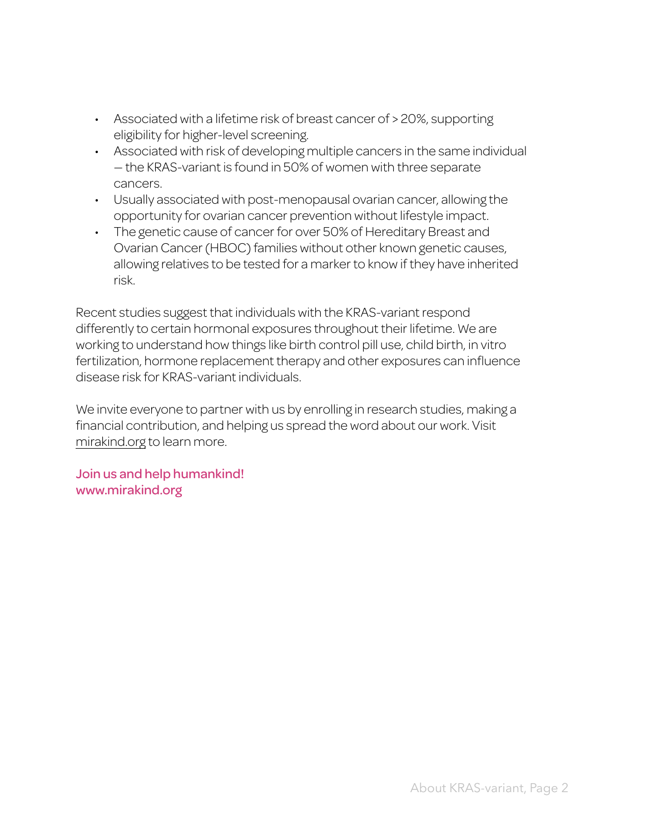- Associated with a lifetime risk of breast cancer of > 20%, supporting eligibility for higher-level screening.
- Associated with risk of developing multiple cancers in the same individual — the KRAS-variant is found in 50% of women with three separate cancers.
- Usually associated with post-menopausal ovarian cancer, allowing the opportunity for ovarian cancer prevention without lifestyle impact.
- The genetic cause of cancer for over 50% of Hereditary Breast and Ovarian Cancer (HBOC) families without other known genetic causes, allowing relatives to be tested for a marker to know if they have inherited risk.

Recent studies suggest that individuals with the KRAS-variant respond differently to certain hormonal exposures throughout their lifetime. We are working to understand how things like birth control pill use, child birth, in vitro fertilization, hormone replacement therapy and other exposures can influence disease risk for KRAS-variant individuals.

We invite everyone to partner with us by enrolling in research studies, making a financial contribution, and helping us spread the word about our work. Visit mirakind.org to learn more.

Join us and help humankind! www.mirakind.org